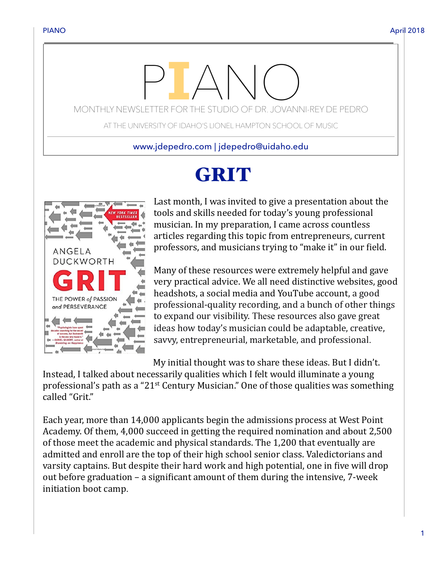# MONTHLY NEWSLETTER FOR THE STUDIO OF DR. JOVANNI-REY DE PEDRO

AT THE UNIVERSITY OF IDAHO'S LIONEL HAMPTON SCHOOL OF MUSIC

www.jdepedro.com | jdepedro@uidaho.edu

## GRIT



Last month, I was invited to give a presentation about the tools and skills needed for today's young professional musician. In my preparation, I came across countless articles regarding this topic from entrepreneurs, current professors, and musicians trying to "make it" in our field.

Many of these resources were extremely helpful and gave very practical advice. We all need distinctive websites, good headshots, a social media and YouTube account, a good professional-quality recording, and a bunch of other things to expand our visibility. These resources also gave great ideas how today's musician could be adaptable, creative, savvy, entrepreneurial, marketable, and professional.

My initial thought was to share these ideas. But I didn't.

Instead, I talked about necessarily qualities which I felt would illuminate a young professional's path as a "21<sup>st</sup> Century Musician." One of those qualities was something called "Grit."

Each year, more than 14,000 applicants begin the admissions process at West Point Academy. Of them, 4,000 succeed in getting the required nomination and about 2,500 of those meet the academic and physical standards. The 1,200 that eventually are admitted and enroll are the top of their high school senior class. Valedictorians and varsity captains. But despite their hard work and high potential, one in five will drop out before graduation  $-$  a significant amount of them during the intensive,  $7$ -week initiation boot camp.